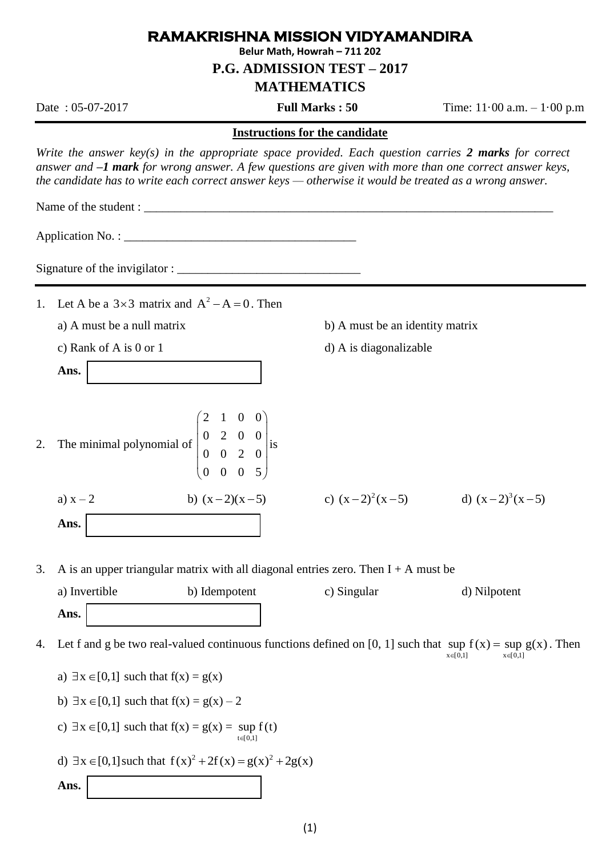## **RAMAKRISHNA MISSION VIDYAMANDIRA**

**Belur Math, Howrah – 711 202**

**P.G. ADMISSION TEST – 2017**

## **MATHEMATICS**

Date : 05-07-2017 **Full Marks : 50** Time: 11·00 a.m. – 1·00 p.m

## **Instructions for the candidate**

*Write the answer key(s) in the appropriate space provided. Each question carries 2 marks for correct answer and –1 mark for wrong answer. A few questions are given with more than one correct answer keys, the candidate has to write each correct answer keys — otherwise it would be treated as a wrong answer.* 

Name of the student :

Application No. : \_\_\_\_\_\_\_\_\_\_\_\_\_\_\_\_\_\_\_\_\_\_\_\_\_\_\_\_\_\_\_\_\_\_\_\_\_\_

| Signature of the invigilator: |  |
|-------------------------------|--|
|                               |  |

- 1. Let A be a  $3\times 3$  matrix and  $A^2 A = 0$ . Then
	-

| c) Rank of A is $0$ or $1$ | d) A is diagonalizable |
|----------------------------|------------------------|
|----------------------------|------------------------|

**Ans.**

2. The minimal polynomial of 0 2 0 0 0 0 2 0 0 0 0 5  $\begin{pmatrix} 2 & 1 & 0 & 0 \\ 0 & 2 & 0 & 0 \end{pmatrix}$  $\begin{vmatrix} 0 & 2 & 0 & 0 \end{vmatrix}_{i s}$  $\begin{pmatrix} 0 & 0 & 2 & 0 \end{pmatrix}^n$  $\begin{pmatrix} 0 & 0 & 0 & 5 \end{pmatrix}$ is

a)  $x - 2$ b)  $(x - 2)(x - 5)$ **Ans.**

- a) A must be a null matrix b) A must be an identity matrix
	-

 $(x-2)^2(x-5)$  d)  $(x-2)^3(x-5)$ 

3. A is an upper triangular matrix with all diagonal entries zero. Then  $I + A$  must be

2 1 0 0

| a) Invertible | b) Idempotent | c) Singular | d) Nilpotent |
|---------------|---------------|-------------|--------------|
| Ans.          |               |             |              |

4. Let f and g be two real-valued continuous functions defined on [0, 1] such that sup  $f(x) = \sup g(x)$ . Then  $x \in [0,1]$   $x \in [0,1]$ 

\n- a) 
$$
\exists x \in [0,1]
$$
 such that  $f(x) = g(x)$
\n- b)  $\exists x \in [0,1]$  such that  $f(x) = g(x) - 2$
\n- c)  $\exists x \in [0,1]$  such that  $f(x) = g(x) = \sup_{t \in [0,1]}$
\n- d)  $\exists x \in [0,1]$  such that  $f(x)^2 + 2f(x) = g(x)^2 + 2g(x)$
\n
\nAns. ▮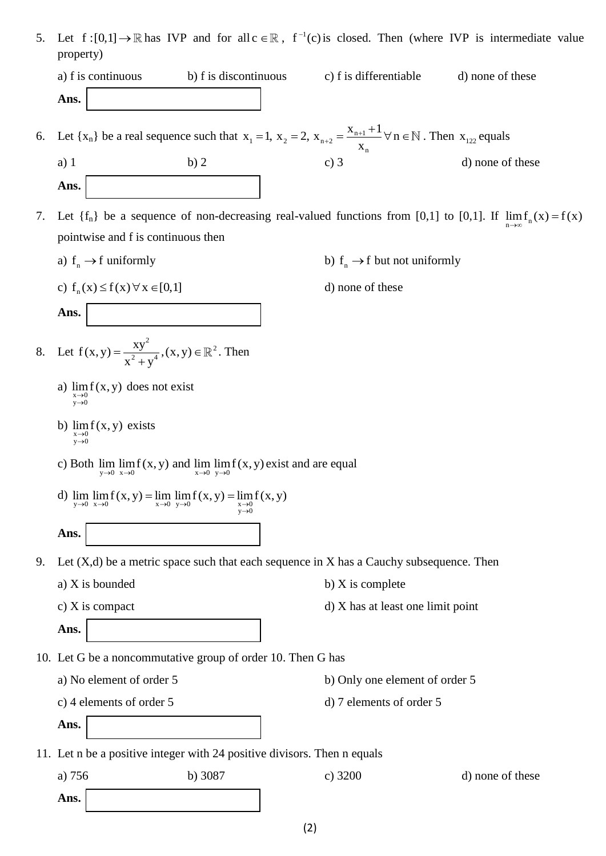5. Let  $f:[0,1] \to \mathbb{R}$  has IVP and for all  $c \in \mathbb{R}$ ,  $f^{-1}(c)$  is closed. Then (where IVP is intermediate value property)

| a) f is continuous | b) f is discontinuous                                                                                                                                      | c) f is differentiable | d) none of these |  |
|--------------------|------------------------------------------------------------------------------------------------------------------------------------------------------------|------------------------|------------------|--|
| Ans.               |                                                                                                                                                            |                        |                  |  |
|                    | 6. Let $\{x_n\}$ be a real sequence such that $x_1 = 1$ , $x_2 = 2$ , $x_{n+2} = \frac{x_{n+1} + 1}{n}$ $\forall n \in \mathbb{N}$ . Then $x_{122}$ equals |                        |                  |  |

- n x . Then  $x_{122}$  equals a) 1 b) 2 c) 3 d) none of these **Ans.**
- 7. Let  $\{f_n\}$  be a sequence of non-decreasing real-valued functions from [0,1] to [0,1]. If  $\lim_{n\to\infty} f_n(x) = f(x)$ pointwise and f is continuous then
	- a)  $f_n \rightarrow f$  uniformly b)
	- c)  $f_n(x) \le f(x) \forall x \in [0,1]$

**Ans.**

8. Let 
$$
f(x, y) = \frac{xy^2}{x^2 + y^4}
$$
,  $(x, y) \in \mathbb{R}^2$ . Then

- a)  $\lim_{x \to a} f(x, y)$  does not exist  $x \rightarrow 0$ <br>y  $\rightarrow 0$
- b)  $\lim_{x \to b} f(x, y)$  exists  $x \rightarrow 0$ <br>y  $\rightarrow 0$
- c) Both  $\lim_{y\to 0} \lim_{x\to 0} f(x, y)$  and  $\lim_{x\to 0} \lim_{y\to 0} f(x, y)$  exist and are equal
- d)  $\lim_{y\to 0} \lim_{x\to 0} f(x, y) = \lim_{x\to 0} \lim_{y\to 0} f(x, y) = \lim_{\substack{x\to 0 \ y\to 0}}$  $\lim_{y\to 0} \lim_{x\to 0} f(x, y) = \lim_{x\to 0} \lim_{y\to 0} f(x, y) = \lim_{\substack{x\to 0 \\ y\to 0}} f(x, y)$  $= \lim_{x\to 0} \lim_{y\to 0} f(x,y) = \lim_{x\to 0} f(x,y)$ **Ans.**
- 9. Let  $(X,d)$  be a metric space such that each sequence in X has a Cauchy subsequence. Then
	- a)  $X$  is bounded b)  $X$  is complete
		-
	- c)  $X$  is compact d)  $X$  has at least one limit point
- 10. Let G be a noncommutative group of order 10. Then G has
	-
	- a) No element of order 5 b) Only one element of order 5
	- c) 4 elements of order 5 d) 7 elements of order 5
	- **Ans.**

**Ans.**

- 11. Let n be a positive integer with 24 positive divisors. Then n equals
	- a) 756 b) 3087 c) 3200 d) none of these
		- **Ans.**

(2)

 $f_n \to f$  but not uniformly d) none of these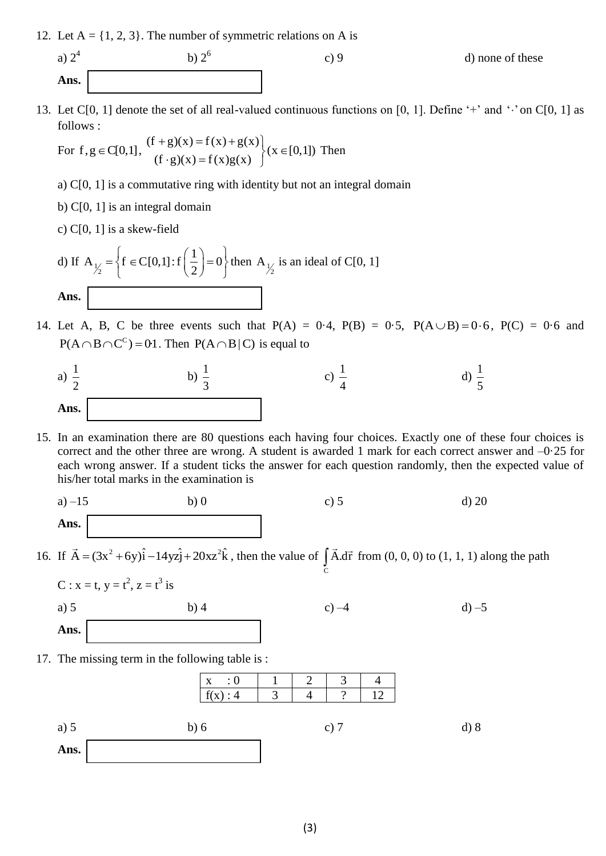12. Let  $A = \{1, 2, 3\}$ . The number of symmetric relations on A is

b)  $2^6$ 

a)  $2<sup>4</sup>$ **Ans.**

- c) 9 d) none of these
- 13. Let C[0, 1] denote the set of all real-valued continuous functions on [0, 1]. Define '+' and ' $\cdot$ ' on C[0, 1] as follows :

follows :  
For 
$$
f, g \in C[0,1]
$$
,  $\begin{cases} (f+g)(x) = f(x) + g(x) \\ (f \cdot g)(x) = f(x)g(x) \end{cases}$   $(x \in [0,1])$  Then

- a) C[0, 1] is a commutative ring with identity but not an integral domain
- b) C[0, 1] is an integral domain
- c) C[0, 1] is a skew-field

d) If 
$$
A_{\frac{1}{2}} = \left\{ f \in C[0,1]: f\left(\frac{1}{2}\right) = 0 \right\}
$$
 then  $A_{\frac{1}{2}}$  is an ideal of C[0, 1]  
Ans.

14. Let A, B, C be three events such that  $P(A) = 0.4$ ,  $P(B) = 0.5$ ,  $P(A \cup B) = 0.6$ ,  $P(C) = 0.6$  and  $P(A \cap B \cap C^C) = 0.1$ . Then  $P(A \cap B | C)$  is equal to



15. In an examination there are 80 questions each having four choices. Exactly one of these four choices is correct and the other three are wrong. A student is awarded 1 mark for each correct answer and  $-0.25$  for each wrong answer. If a student ticks the answer for each question randomly, then the expected value of his/her total marks in the examination is

a) 
$$
-15
$$
 b) 0 c) 5 d) 20  
Ans.

16. If  $\vec{A} = (3x^2 + 6y)\hat{i} - 14yz\hat{j} + 20xz^2\hat{k}$ , then the value of  $\int_{C} \vec{A} \cdot d\vec{r}$  from (0, 0, 0) to (1, 1, 1) along the path



17. The missing term in the following table is :

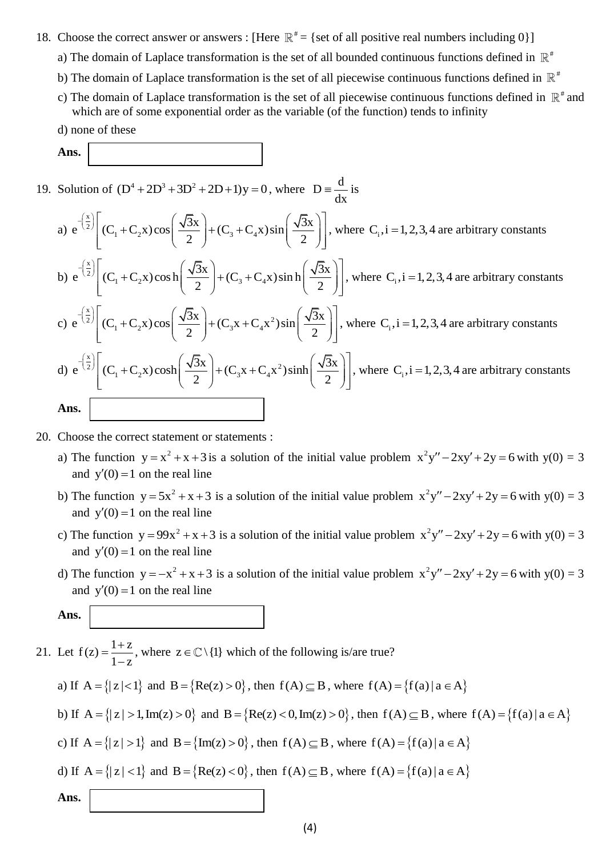- 18. Choose the correct answer or answers : [Here  $\mathbb{R}^* = \{$  set of all positive real numbers including 0}]
	- a) The domain of Laplace transformation is the set of all bounded continuous functions defined in  $\mathbb{R}^*$
	- b) The domain of Laplace transformation is the set of all piecewise continuous functions defined in  $\mathbb{R}^*$
	- c) The domain of Laplace transformation is the set of all piecewise continuous functions defined in  $\mathbb{R}^*$  and which are of some exponential order as the variable (of the function) tends to infinity
	- d) none of these

**Ans.**

19. Solution of  $(D^4 + 2D^3 + 3D^2 + 2D + 1)y = 0$ , where  $D = \frac{d}{dx}$ dx

Solution of 
$$
(D^4 + 2D^3 + 3D^2 + 2D + 1)y = 0
$$
, where  $D = \frac{d}{dx}$  is  
\na)  $e^{-\left(\frac{x}{2}\right)} \left[ (C_1 + C_2 x) \cos\left(\frac{\sqrt{3}x}{2}\right) + (C_3 + C_4 x) \sin\left(\frac{\sqrt{3}x}{2}\right) \right]$ , where  $C_i$ , i = 1, 2, 3, 4 are arbitrary constants  
\nb)  $e^{-\left(\frac{x}{2}\right)} \left[ (C_1 + C_2 x) \cos\left(\frac{\sqrt{3}x}{2}\right) + (C_3 + C_4 x) \sin\left(\frac{\sqrt{3}x}{2}\right) \right]$ , where  $C_i$ , i = 1, 2, 3, 4 are arbitrary constants  
\nc)  $e^{-\left(\frac{x}{2}\right)} \left[ (C_1 + C_2 x) \cos\left(\frac{\sqrt{3}x}{2}\right) + (C_3 x + C_4 x^2) \sin\left(\frac{\sqrt{3}x}{2}\right) \right]$ , where  $C_i$ , i = 1, 2, 3, 4 are arbitrary constants  
\nd)  $e^{-\left(\frac{x}{2}\right)} \left[ (C_1 + C_2 x) \cosh\left(\frac{\sqrt{3}x}{2}\right) + (C_3 x + C_4 x^2) \sinh\left(\frac{\sqrt{3}x}{2}\right) \right]$ , where  $C_i$ , i = 1, 2, 3, 4 are arbitrary constants  
\n**Ans.**

- 20. Choose the correct statement or statements :
	- a) The function  $y = x^2 + x + 3$  is a solution of the initial value problem  $x^2y'' 2xy' + 2y = 6$  with  $y(0) = 3$ and  $y'(0) = 1$  on the real line
	- b) The function  $y = 5x^2 + x + 3$  is a solution of the initial value problem  $x^2y'' 2xy' + 2y = 6$  with  $y(0) = 3$ and  $y'(0) = 1$  on the real line
	- c) The function  $y = 99x^2 + x + 3$  is a solution of the initial value problem  $x^2y'' 2xy' + 2y = 6$  with  $y(0) = 3$ and  $y'(0) = 1$  on the real line
	- d) The function  $y = -x^2 + x + 3$  is a solution of the initial value problem  $x^2y'' 2xy' + 2y = 6$  with  $y(0) = 3$ and  $y'(0) = 1$  on the real line

**Ans.**

$$
\mathcal{L}^{\text{max}}(\mathcal{L}^{\text{max}})
$$

21. Let  $f(z) = \frac{1+z}{1+z}$  $1 - z$  $=\frac{1+}{1}$  $\overline{a}$ , where  $z \in \mathbb{C} \setminus \{1\}$  which of the following is/are true? a) If  $A = \{|z| < 1\}$  and  $B = \{Re(z) > 0\}$ , then  $f(A) \subseteq B$ , where  $f(A) = \{f(a) \mid a \in A\}$ 

b) If 
$$
A = \{|z| > 1, Im(z) > 0\}
$$
 and  $B = \{Re(z) < 0, Im(z) > 0\}$ , then  $f(A) \subseteq B$ , where  $f(A) = \{f(a) | a \in A\}$ 

c) If 
$$
A = \{|z| > 1\}
$$
 and  $B = \{Im(z) > 0\}$ , then  $f(A) \subseteq B$ , where  $f(A) = \{f(a) | a \in A\}$ 

d) If 
$$
A = \{|z| < 1\}
$$
 and  $B = \{Re(z) < 0\}$ , then  $f(A) \subseteq B$ , where  $f(A) = \{f(a) | a \in A\}$ 

**Ans.**